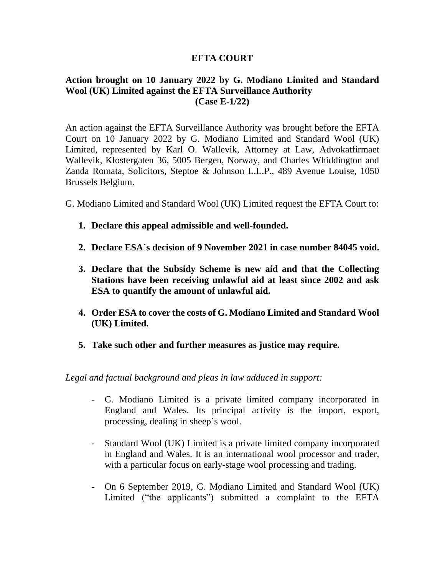## **EFTA COURT**

## **Action brought on 10 January 2022 by G. Modiano Limited and Standard Wool (UK) Limited against the EFTA Surveillance Authority (Case E-1/22)**

An action against the EFTA Surveillance Authority was brought before the EFTA Court on 10 January 2022 by G. Modiano Limited and Standard Wool (UK) Limited, represented by Karl O. Wallevik, Attorney at Law, Advokatfirmaet Wallevik, Klostergaten 36, 5005 Bergen, Norway, and Charles Whiddington and Zanda Romata, Solicitors, Steptoe & Johnson L.L.P., 489 Avenue Louise, 1050 Brussels Belgium.

G. Modiano Limited and Standard Wool (UK) Limited request the EFTA Court to:

- **1. Declare this appeal admissible and well-founded.**
- **2. Declare ESA´s decision of 9 November 2021 in case number 84045 void.**
- **3. Declare that the Subsidy Scheme is new aid and that the Collecting Stations have been receiving unlawful aid at least since 2002 and ask ESA to quantify the amount of unlawful aid.**
- **4. Order ESA to cover the costs of G. Modiano Limited and Standard Wool (UK) Limited.**
- **5. Take such other and further measures as justice may require.**

*Legal and factual background and pleas in law adduced in support:*

- G. Modiano Limited is a private limited company incorporated in England and Wales. Its principal activity is the import, export, processing, dealing in sheep´s wool.
- Standard Wool (UK) Limited is a private limited company incorporated in England and Wales. It is an international wool processor and trader, with a particular focus on early-stage wool processing and trading.
- On 6 September 2019, G. Modiano Limited and Standard Wool (UK) Limited ("the applicants") submitted a complaint to the EFTA